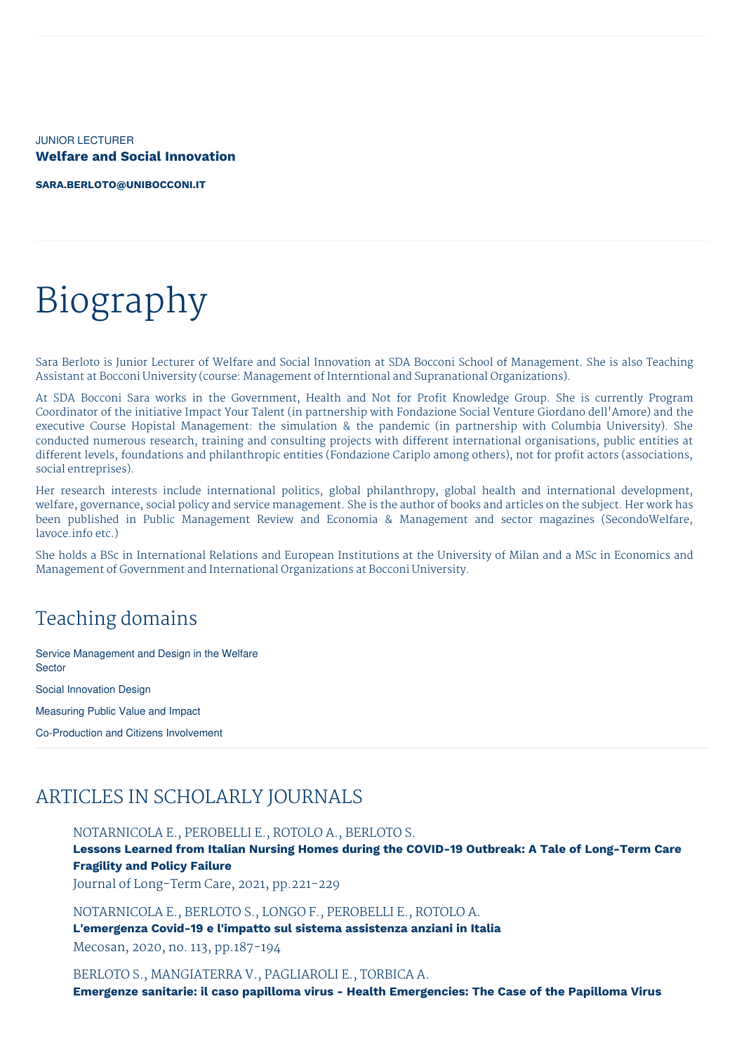JUNIOR LECTURER **Welfare and Social Innovation**

**[SARA.BERLOTO@UNIBOCCONI.IT](mailto:sara.berloto@unibocconi.it)**

# Biography

Sara Berloto is Junior Lecturer of Welfare and Social Innovation at SDA Bocconi School of Management. She is also Teaching Assistant at Bocconi University (course: Management of Interntional and Supranational Organizations).

At SDA Bocconi Sara works in the Government, Health and Not for Profit Knowledge Group. She is currently Program Coordinator of the initiative Impact Your Talent (in partnership with Fondazione Social Venture Giordano dell'Amore) and the executive Course Hopistal Management: the simulation & the pandemic (in partnership with Columbia University). She conducted numerous research, training and consulting projects with different international organisations, public entities at different levels, foundations and philanthropic entities (Fondazione Cariplo among others), not for profit actors (associations, social entreprises).

Her research interests include international politics, global philanthropy, global health and international development, welfare, governance, social policy and service management. She is the author of books and articles on the subject. Her work has been published in Public Management Review and Economia & Management and sector magazines (SecondoWelfare, lavoce.info etc.)

She holds a BSc in International Relations and European Institutions at the University of Milan and a MSc in Economics and Management of Government and International Organizations at Bocconi University.

# Teaching domains

Service Management and Design in the Welfare **Sector** Social Innovation Design

Measuring Public Value and Impact

Co-Production and Citizens Involvement

## ARTICLES IN SCHOLARLY JOURNALS

NOTARNICOLA E., PEROBELLI E., ROTOLO A., BERLOTO S.

**Lessons Learned from Italian Nursing Homes during the COVID-19 Outbreak: A Tale of Long-Term Care Fragility and Policy Failure**

Journal of Long-Term Care, 2021, pp.221-229

NOTARNICOLA E., BERLOTO S., LONGO F., PEROBELLI E., ROTOLO A.

**L'emergenza Covid-19 e l'impatto sul sistema assistenza anziani in Italia**

Mecosan, 2020, no. 113, pp.187-194

BERLOTO S., MANGIATERRA V., PAGLIAROLI E., TORBICA A. **Emergenze sanitarie: il caso papilloma virus - Health Emergencies: The Case of the Papilloma Virus**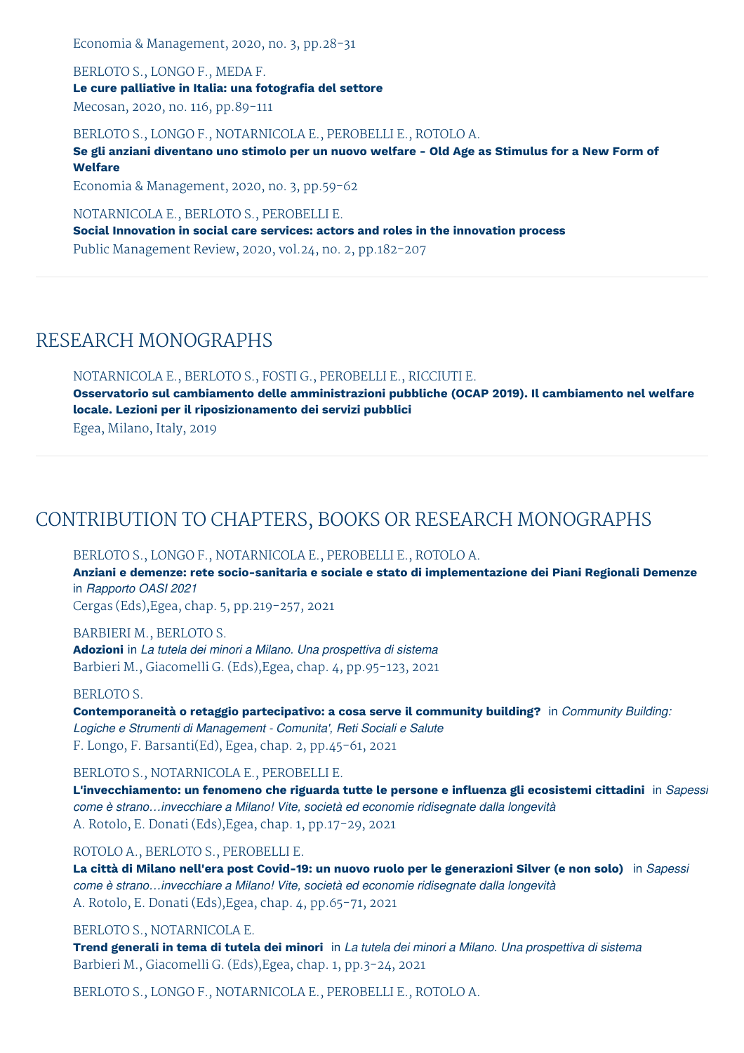Economia & Management, 2020, no. 3, pp.28-31

BERLOTO S., LONGO F., MEDA F. **Le cure palliative in Italia: una fotografia del settore** Mecosan, 2020, no. 116, pp.89-111

BERLOTO S., LONGO F., NOTARNICOLA E., PEROBELLI E., ROTOLO A.

Se gli anziani diventano uno stimolo per un nuovo welfare - Old Age as Stimulus for a New Form of **Welfare**

Economia & Management, 2020, no. 3, pp.59-62

NOTARNICOLA E., BERLOTO S., PEROBELLI E.

**Social Innovation in social care services: actors and roles in the innovation process** Public Management Review, 2020, vol.24, no. 2, pp.182-207

## RESEARCH MONOGRAPHS

NOTARNICOLA E., BERLOTO S., FOSTI G., PEROBELLI E., RICCIUTI E.

**Osservatorio sul cambiamento delle amministrazioni pubbliche (OCAP 2019). Il cambiamento nel welfare locale. Lezioni per il riposizionamento dei servizi pubblici** Egea, Milano, Italy, 2019

# CONTRIBUTION TO CHAPTERS, BOOKS OR RESEARCH MONOGRAPHS

BERLOTO S., LONGO F., NOTARNICOLA E., PEROBELLI E., ROTOLO A.

**Anziani e demenze: rete socio-sanitaria e sociale e stato di implementazione dei Piani Regionali Demenze** in *Rapporto OASI 2021*

Cergas (Eds),Egea, chap. 5, pp.219-257, 2021

BARBIERI M., BERLOTO S. **Adozioni** in *La tutela dei minori a Milano. Una prospettiva di sistema* Barbieri M., Giacomelli G. (Eds),Egea, chap. 4, pp.95-123, 2021

BERLOTO S. **Contemporaneità o retaggio partecipativo: a cosa serve il community building?** in *Community Building: Logiche e Strumenti di Management - Comunita', Reti Sociali e Salute* F. Longo, F. Barsanti(Ed), Egea, chap. 2, pp.45-61, 2021

BERLOTO S., NOTARNICOLA E., PEROBELLI E.

**L'invecchiamento: un fenomeno che riguarda tutte le persone e influenza gli ecosistemi cittadini** in *Sapessi come è strano…invecchiare a Milano! Vite, società ed economie ridisegnate dalla longevità* A. Rotolo, E. Donati (Eds),Egea, chap. 1, pp.17-29, 2021

#### ROTOLO A., BERLOTO S., PEROBELLI E.

La città di Milano nell'era post Covid-19: un nuovo ruolo per le generazioni Silver (e non solo) in Sapessi *come è strano…invecchiare a Milano! Vite, società ed economie ridisegnate dalla longevità* A. Rotolo, E. Donati (Eds),Egea, chap. 4, pp.65-71, 2021

#### BERLOTO S., NOTARNICOLA E.

Trend generali in tema di tutela dei minori in La tutela dei minori a Milano. Una prospettiva di sistema Barbieri M., Giacomelli G. (Eds),Egea, chap. 1, pp.3-24, 2021

BERLOTO S., LONGO F., NOTARNICOLA E., PEROBELLI E., ROTOLO A.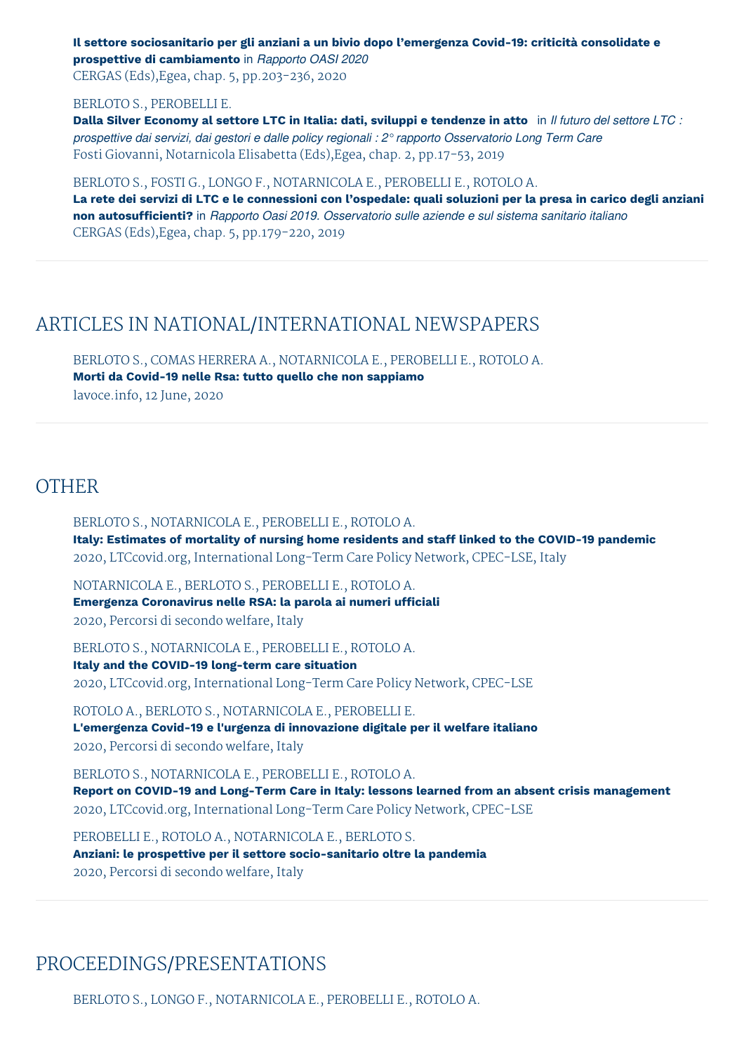**Il settore sociosanitario per gli anziani a un bivio dopo l'emergenza Covid-19: criticità consolidate e prospettive di cambiamento** in *Rapporto OASI 2020*

CERGAS (Eds),Egea, chap. 5, pp.203-236, 2020

#### BERLOTO S., PEROBELLI E.

Dalla Silver Economy al settore LTC in Italia: dati, sviluppi e tendenze in atto in Il futuro del settore LTC : *prospettive dai servizi, dai gestori e dalle policy regionali : 2° rapporto Osservatorio Long Term Care* Fosti Giovanni, Notarnicola Elisabetta (Eds),Egea, chap. 2, pp.17-53, 2019

BERLOTO S., FOSTI G., LONGO F., NOTARNICOLA E., PEROBELLI E., ROTOLO A.

La rete dei servizi di LTC e le connessioni con l'ospedale: quali soluzioni per la presa in carico degli anziani **non autosufficienti?** in *Rapporto Oasi 2019. Osservatorio sulle aziende e sul sistema sanitario italiano* CERGAS (Eds),Egea, chap. 5, pp.179-220, 2019

## ARTICLES IN NATIONAL/INTERNATIONAL NEWSPAPERS

BERLOTO S., COMAS HERRERA A., NOTARNICOLA E., PEROBELLI E., ROTOLO A. **Morti da Covid-19 nelle Rsa: tutto quello che non sappiamo** lavoce.info, 12 June, 2020

### **OTHER**

BERLOTO S., NOTARNICOLA E., PEROBELLI E., ROTOLO A. **Italy: Estimates of mortality of nursing home residents and staff linked to the COVID-19 pandemic** 2020, LTCcovid.org, International Long-Term Care Policy Network, CPEC-LSE, Italy

NOTARNICOLA E., BERLOTO S., PEROBELLI E., ROTOLO A. **Emergenza Coronavirus nelle RSA: la parola ai numeri ufficiali** 2020, Percorsi di secondo welfare, Italy

BERLOTO S., NOTARNICOLA E., PEROBELLI E., ROTOLO A. **Italy and the COVID-19 long-term care situation** 2020, LTCcovid.org, International Long-Term Care Policy Network, CPEC-LSE

ROTOLO A., BERLOTO S., NOTARNICOLA E., PEROBELLI E. **L'emergenza Covid-19 e l'urgenza di innovazione digitale per il welfare italiano** 2020, Percorsi di secondo welfare, Italy

BERLOTO S., NOTARNICOLA E., PEROBELLI E., ROTOLO A. **Report on COVID-19 and Long-Term Care in Italy: lessons learned from an absent crisis management** 2020, LTCcovid.org, International Long-Term Care Policy Network, CPEC-LSE

PEROBELLI E., ROTOLO A., NOTARNICOLA E., BERLOTO S. **Anziani: le prospettive per il settore socio-sanitario oltre la pandemia** 2020, Percorsi di secondo welfare, Italy

## PROCEEDINGS/PRESENTATIONS

BERLOTO S., LONGO F., NOTARNICOLA E., PEROBELLI E., ROTOLO A.